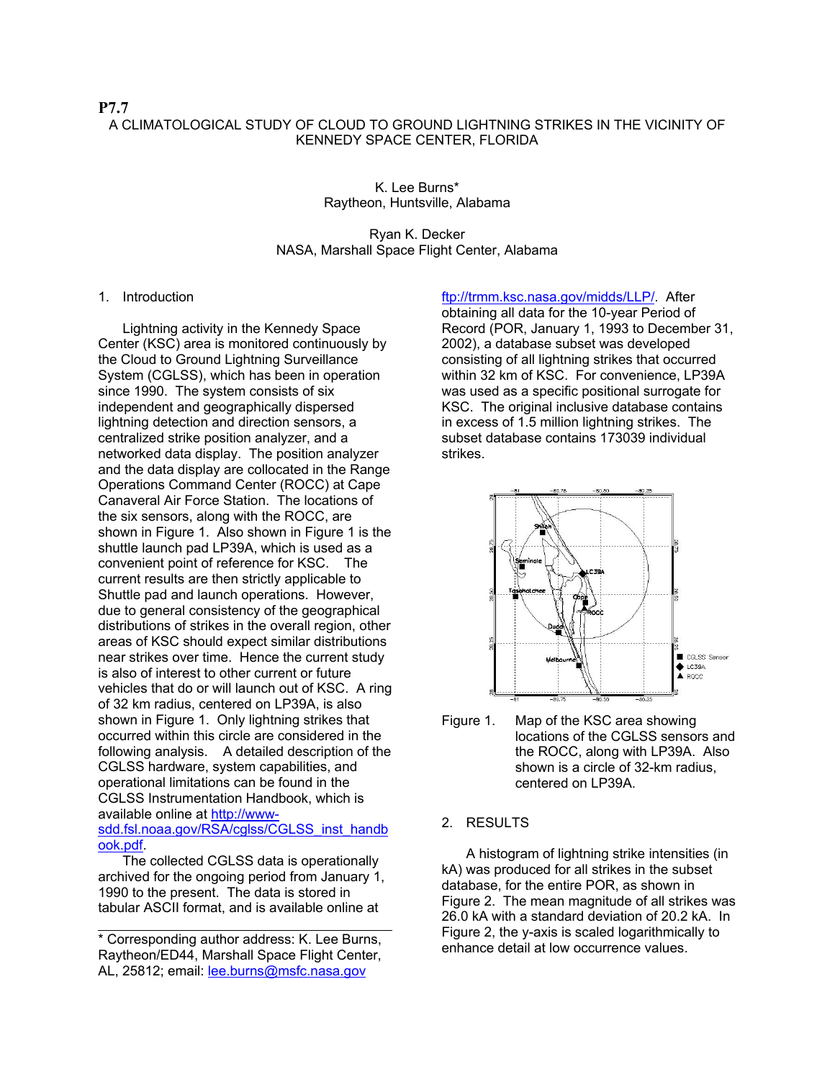## **P7.7**  A CLIMATOLOGICAL STUDY OF CLOUD TO GROUND LIGHTNING STRIKES IN THE VICINITY OF KENNEDY SPACE CENTER, FLORIDA

K. Lee Burns\* Raytheon, Huntsville, Alabama

## Ryan K. Decker NASA, Marshall Space Flight Center, Alabama

#### 1. Introduction

Lightning activity in the Kennedy Space Center (KSC) area is monitored continuously by the Cloud to Ground Lightning Surveillance System (CGLSS), which has been in operation since 1990. The system consists of six independent and geographically dispersed lightning detection and direction sensors, a centralized strike position analyzer, and a networked data display. The position analyzer and the data display are collocated in the Range Operations Command Center (ROCC) at Cape Canaveral Air Force Station. The locations of the six sensors, along with the ROCC, are shown in Figure 1. Also shown in Figure 1 is the shuttle launch pad LP39A, which is used as a convenient point of reference for KSC. The current results are then strictly applicable to Shuttle pad and launch operations. However, due to general consistency of the geographical distributions of strikes in the overall region, other areas of KSC should expect similar distributions near strikes over time. Hence the current study is also of interest to other current or future vehicles that do or will launch out of KSC. A ring of 32 km radius, centered on LP39A, is also shown in Figure 1. Only lightning strikes that occurred within this circle are considered in the following analysis. A detailed description of the CGLSS hardware, system capabilities, and operational limitations can be found in the CGLSS Instrumentation Handbook, which is available online at http://wwwsdd.fsl.noaa.gov/RSA/cglss/CGLSS\_inst\_handb

The collected CGLSS data is operationally archived for the ongoing period from January 1, 1990 to the present. The data is stored in tabular ASCII format, and is available online at

ook.pdf.

\* Corresponding author address: K. Lee Burns, Raytheon/ED44, Marshall Space Flight Center, AL, 25812; email: lee.burns@msfc.nasa.gov

ftp://trmm.ksc.nasa.gov/midds/LLP/. After obtaining all data for the 10-year Period of Record (POR, January 1, 1993 to December 31, 2002), a database subset was developed consisting of all lightning strikes that occurred within 32 km of KSC. For convenience, LP39A was used as a specific positional surrogate for KSC. The original inclusive database contains in excess of 1.5 million lightning strikes. The subset database contains 173039 individual strikes.



Figure 1. Map of the KSC area showing locations of the CGLSS sensors and the ROCC, along with LP39A. Also shown is a circle of 32-km radius, centered on LP39A.

#### 2. RESULTS

A histogram of lightning strike intensities (in kA) was produced for all strikes in the subset database, for the entire POR, as shown in Figure 2. The mean magnitude of all strikes was 26.0 kA with a standard deviation of 20.2 kA. In Figure 2, the y-axis is scaled logarithmically to enhance detail at low occurrence values.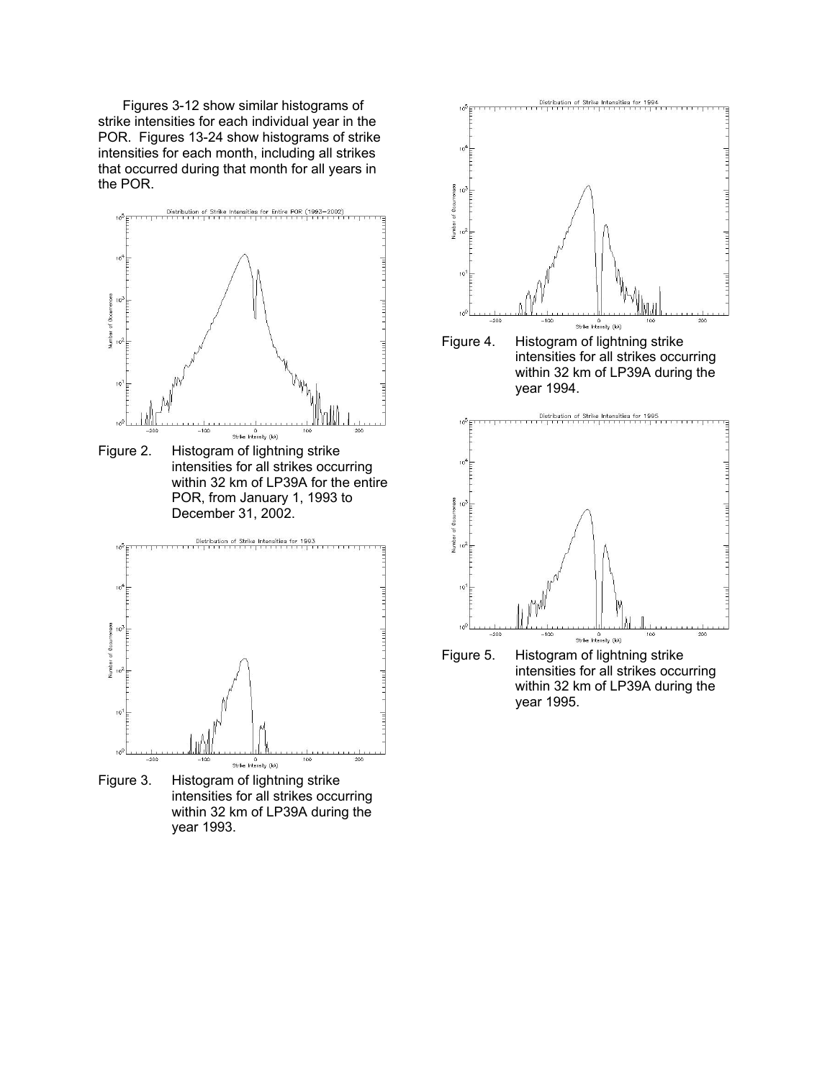Figures 3-12 show similar histograms of strike intensities for each individual year in the POR. Figures 13-24 show histograms of strike intensities for each month, including all strikes that occurred during that month for all years in the POR.



year 1993.



intensities for all strikes occurring within 32 km of LP39A during the year 1995.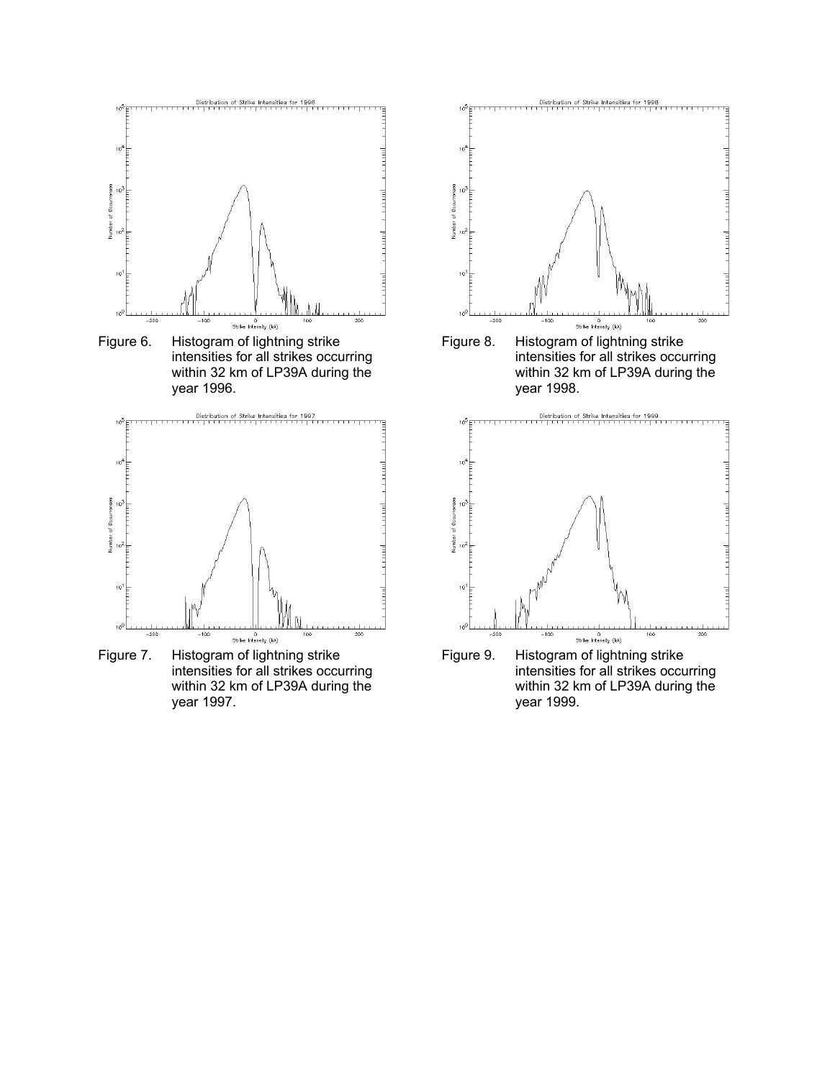

Figure 6. Histogram of lightning strike intensities for all strikes occurring within 32 km of LP39A during the year 1996.



Figure 7. Histogram of lightning strike intensities for all strikes occurring within 32 km of LP39A during the year 1997.



Figure 8. Histogram of lightning strike intensities for all strikes occurring within 32 km of LP39A during the year 1998.



Figure 9. Histogram of lightning strike intensities for all strikes occurring within 32 km of LP39A during the year 1999.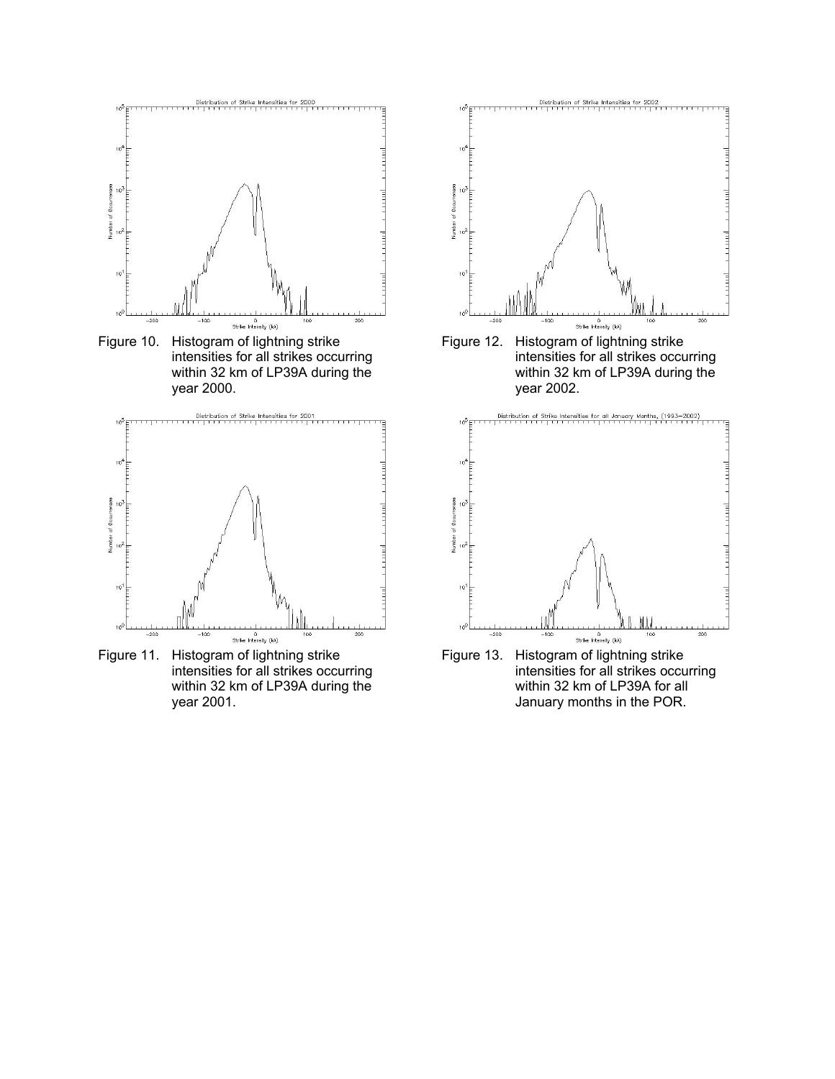

Figure 10. Histogram of lightning strike intensities for all strikes occurring within 32 km of LP39A during the year 2000.



Figure 11. Histogram of lightning strike intensities for all strikes occurring within 32 km of LP39A during the year 2001.



Figure 12. Histogram of lightning strike intensities for all strikes occurring within 32 km of LP39A during the year 2002.



Figure 13. Histogram of lightning strike intensities for all strikes occurring within 32 km of LP39A for all January months in the POR.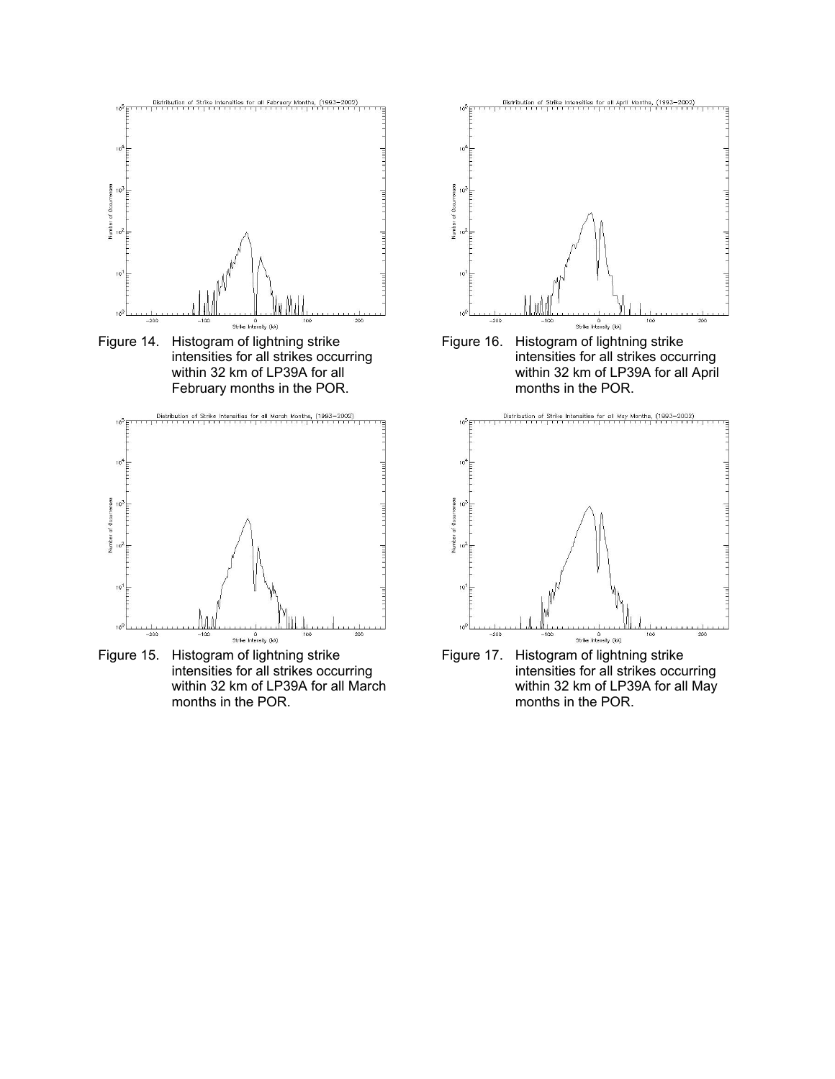

intensities for all strikes occurring within 32 km of LP39A for all February months in the POR.



Figure 15. Histogram of lightning strike intensities for all strikes occurring within 32 km of LP39A for all March months in the POR.





Figure 17. Histogram of lightning strike intensities for all strikes occurring within 32 km of LP39A for all May months in the POR.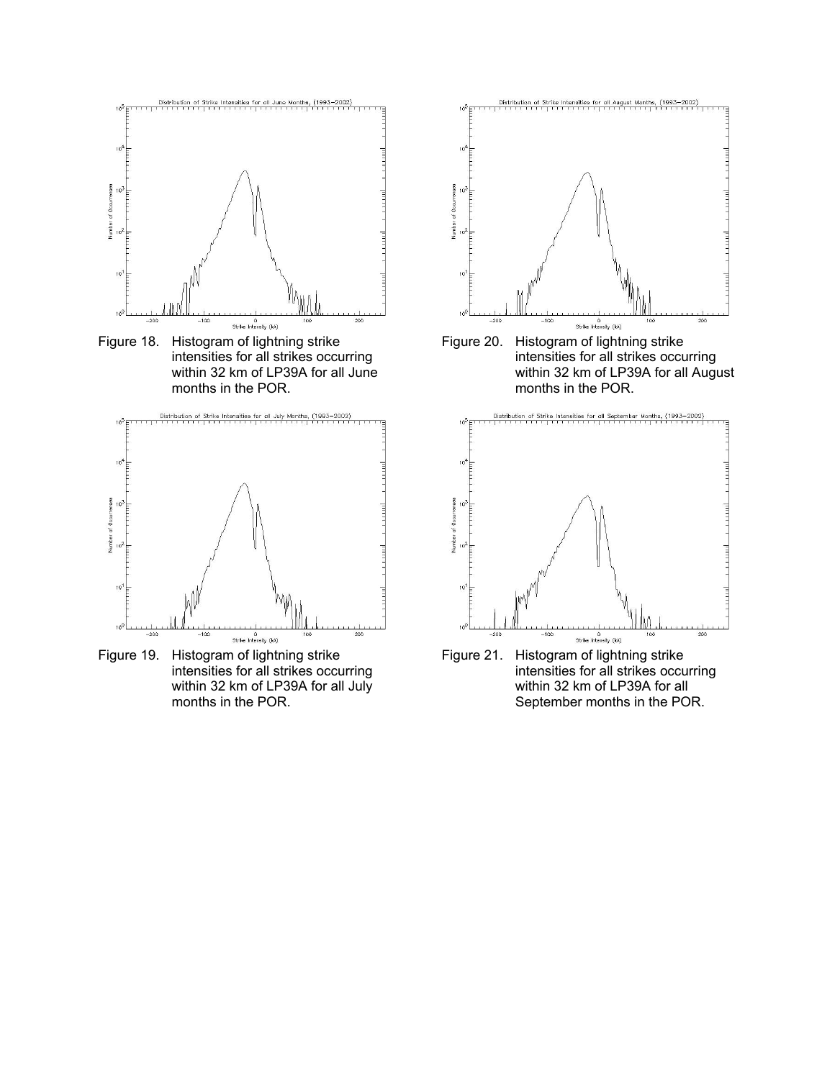

Figure 18. Histogram of lightning strike intensities for all strikes occurring within 32 km of LP39A for all June months in the POR.



Figure 19. Histogram of lightning strike intensities for all strikes occurring within 32 km of LP39A for all July months in the POR.



Figure 20. Histogram of lightning strike intensities for all strikes occurring within 32 km of LP39A for all August months in the POR.



Figure 21. Histogram of lightning strike intensities for all strikes occurring within 32 km of LP39A for all September months in the POR.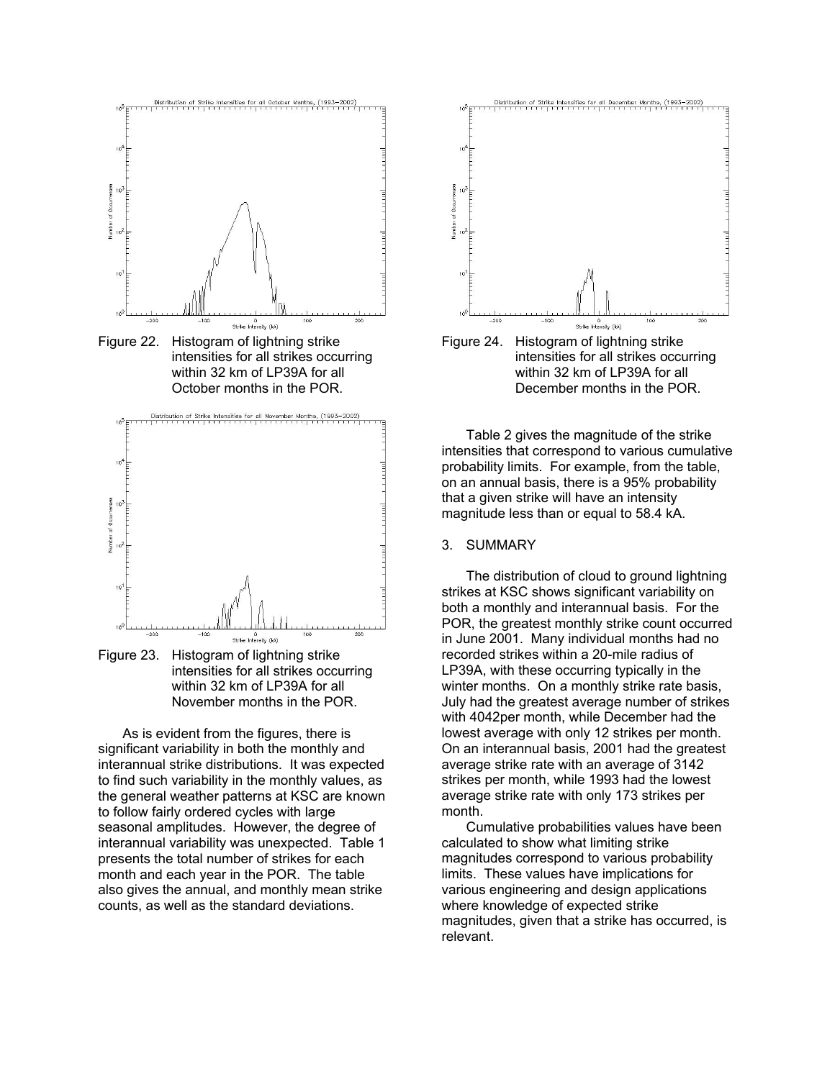

Figure 23. Histogram of lightning strike intensities for all strikes occurring within 32 km of LP39A for all November months in the POR.

 $0$ Strike Intensity (kA)

As is evident from the figures, there is significant variability in both the monthly and interannual strike distributions. It was expected to find such variability in the monthly values, as the general weather patterns at KSC are known to follow fairly ordered cycles with large seasonal amplitudes. However, the degree of interannual variability was unexpected. Table 1 presents the total number of strikes for each month and each year in the POR. The table also gives the annual, and monthly mean strike counts, as well as the standard deviations.



Table 2 gives the magnitude of the strike intensities that correspond to various cumulative probability limits. For example, from the table, on an annual basis, there is a 95% probability that a given strike will have an intensity magnitude less than or equal to 58.4 kA.

### 3. SUMMARY

The distribution of cloud to ground lightning strikes at KSC shows significant variability on both a monthly and interannual basis. For the POR, the greatest monthly strike count occurred in June 2001. Many individual months had no recorded strikes within a 20-mile radius of LP39A, with these occurring typically in the winter months. On a monthly strike rate basis, July had the greatest average number of strikes with 4042per month, while December had the lowest average with only 12 strikes per month. On an interannual basis, 2001 had the greatest average strike rate with an average of 3142 strikes per month, while 1993 had the lowest average strike rate with only 173 strikes per month.

Cumulative probabilities values have been calculated to show what limiting strike magnitudes correspond to various probability limits. These values have implications for various engineering and design applications where knowledge of expected strike magnitudes, given that a strike has occurred, is relevant.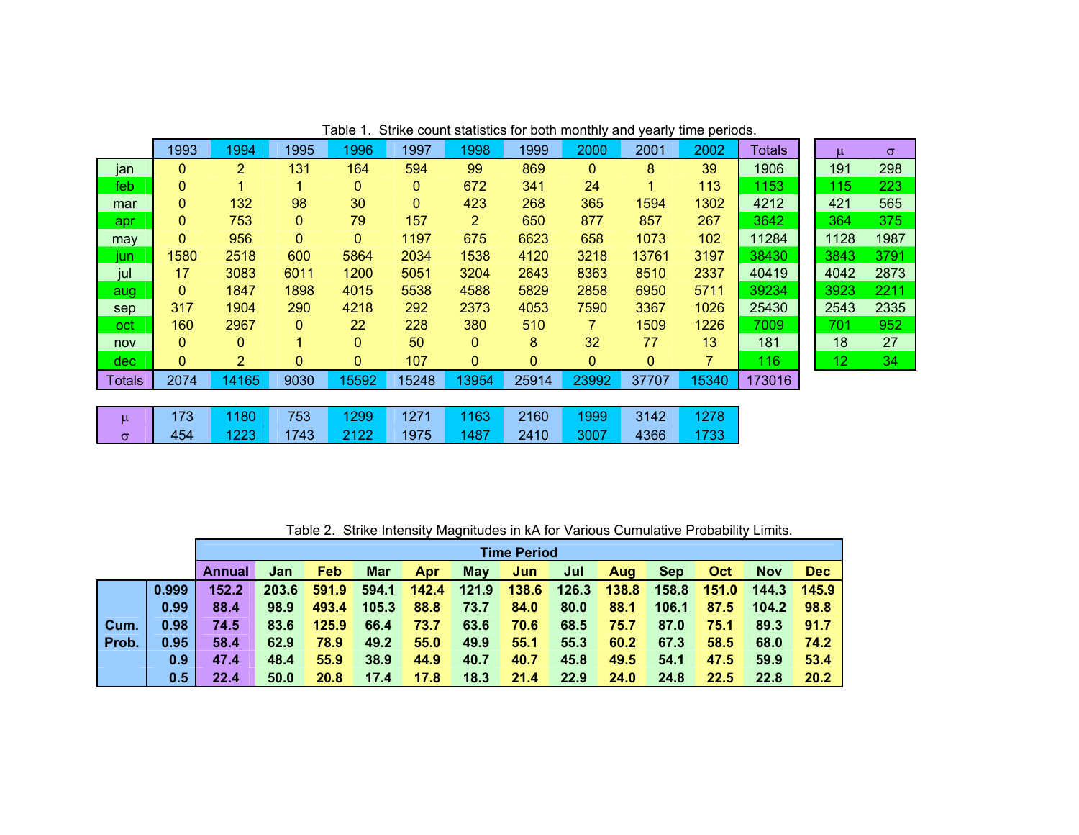|               | .<br>$\frac{1}{2}$<br><b>NUMBER OF STREET</b><br><b>vuriy</b><br>unio ponoao. |                |                |                |                |                |       |                |              |                |               |                 |          |
|---------------|-------------------------------------------------------------------------------|----------------|----------------|----------------|----------------|----------------|-------|----------------|--------------|----------------|---------------|-----------------|----------|
|               | 1993                                                                          | 1994           | 1995           | 1996           | 1997           | 1998           | 1999  | 2000           | 2001         | 2002           | <b>Totals</b> | μ               | $\sigma$ |
| jan           | 0                                                                             | $\overline{2}$ | 131            | 164            | 594            | 99             | 869   | $\mathbf{0}$   | 8            | 39             | 1906          | 191             | 298      |
| feb           | 0                                                                             | 4              | 1              | 0              | $\mathbf{0}$   | 672            | 341   | 24             | 1            | 113            | 1153          | 115             | 223      |
| mar           | 0                                                                             | 132            | 98             | 30             | $\overline{0}$ | 423            | 268   | 365            | 1594         | 1302           | 4212          | 421             | 565      |
| apr           | 0                                                                             | 753            | $\mathbf{0}$   | 79             | 157            | $\overline{2}$ | 650   | 877            | 857          | 267            | 3642          | 364             | 375      |
| may           | $\mathbf{0}$                                                                  | 956            | $\mathbf{0}$   | 0              | 1197           | 675            | 6623  | 658            | 1073         | 102            | 11284         | 1128            | 1987     |
| jun           | 1580                                                                          | 2518           | 600            | 5864           | 2034           | 1538           | 4120  | 3218           | 13761        | 3197           | 38430         | 3843            | 3791     |
| jul           | 17                                                                            | 3083           | 6011           | 1200           | 5051           | 3204           | 2643  | 8363           | 8510         | 2337           | 40419         | 4042            | 2873     |
| aug           | $\mathbf{0}$                                                                  | 1847           | 1898           | 4015           | 5538           | 4588           | 5829  | 2858           | 6950         | 5711           | 39234         | 3923            | 2211     |
| sep           | 317                                                                           | 1904           | 290            | 4218           | 292            | 2373           | 4053  | 7590           | 3367         | 1026           | 25430         | 2543            | 2335     |
| oct           | 160                                                                           | 2967           | $\overline{0}$ | 22             | 228            | 380            | 510   | $\overline{7}$ | 1509         | 1226           | 7009          | 701             | 952      |
| nov           | $\mathbf{0}$                                                                  | $\mathbf{0}$   | 1              | 0              | 50             | $\mathbf{0}$   | 8     | 32             | 77           | 13             | 181           | 18              | 27       |
| dec.          | $\mathbf{0}$                                                                  | $\overline{2}$ | $\mathbf{0}$   | $\overline{0}$ | 107            | $\mathbf{0}$   | 0     | $\mathbf{0}$   | $\mathbf{0}$ | $\overline{7}$ | 116           | 12 <sub>2</sub> | 34       |
| <b>Totals</b> | 2074                                                                          | 14165          | 9030           | 15592          | 15248          | 13954          | 25914 | 23992          | 37707        | 15340          | 173016        |                 |          |
|               |                                                                               |                |                |                |                |                |       |                |              |                |               |                 |          |
| $\mu$         | 173                                                                           | 1180           | 753            | 1299           | 1271           | 1163           | 2160  | 1999           | 3142         | 1278           |               |                 |          |
| $\sigma$      | 454                                                                           | 1223           | 1743           | 2122           | 1975           | 1487           | 2410  | 3007           | 4366         | 1733           |               |                 |          |

Table 1. Strike count statistics for both monthly and yearly time periods.

Table 2. Strike Intensity Magnitudes in kA for Various Cumulative Probability Limits.

|       |       | <b>Time Period</b> |       |       |            |       |            |       |       |       |            |       |            |            |
|-------|-------|--------------------|-------|-------|------------|-------|------------|-------|-------|-------|------------|-------|------------|------------|
|       |       | Annual             | Jan   | Feb   | <b>Mar</b> | Apr   | <b>May</b> | Jun   | Jul   | Aug   | <b>Sep</b> | Oct   | <b>Nov</b> | <b>Dec</b> |
|       | 0.999 | 152.2              | 203.6 | 591.9 | 594.1      | 142.4 | 121.9      | 138.6 | 126.3 | 138.8 | 158.8      | 151.0 | 144.3      | 145.9      |
|       | 0.99  | 88.4               | 98.9  | 493.4 | 105.3      | 88.8  | 73.7       | 84.0  | 80.0  | 88.1  | 106.1      | 87.5  | 104.2      | 98.8       |
| Cum.  | 0.98  | 74.5               | 83.6  | 125.9 | 66.4       | 73.7  | 63.6       | 70.6  | 68.5  | 75.7  | 87.0       | 75.1  | 89.3       | 91.7       |
| Prob. | 0.95  | 58.4               | 62.9  | 78.9  | 49.2       | 55.0  | 49.9       | 55.1  | 55.3  | 60.2  | 67.3       | 58.5  | 68.0       | 74.2       |
|       | 0.9   | 47.4               | 48.4  | 55.9  | 38.9       | 44.9  | 40.7       | 40.7  | 45.8  | 49.5  | 54.1       | 47.5  | 59.9       | 53.4       |
|       | 0.5   | 22.4               | 50.0  | 20.8  | 17.4       | 17.8  | 18.3       | 21.4  | 22.9  | 24.0  | 24.8       | 22.5  | 22.8       | 20.2       |